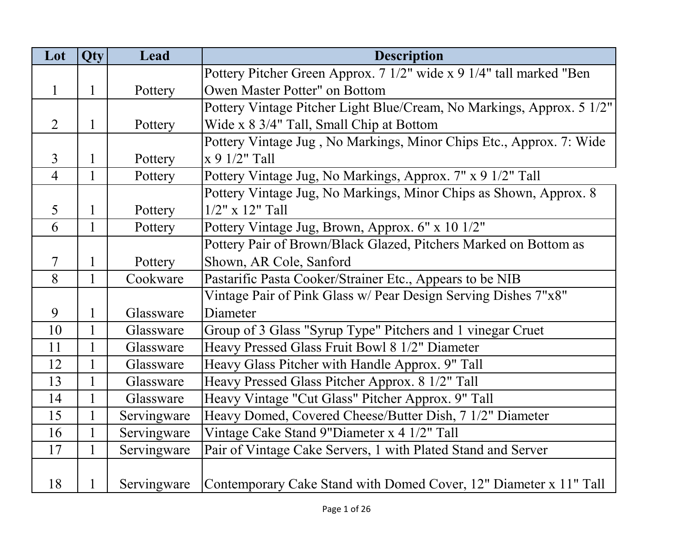| Lot            | Qty          | Lead        | <b>Description</b>                                                    |
|----------------|--------------|-------------|-----------------------------------------------------------------------|
|                |              |             | Pottery Pitcher Green Approx. 7 1/2" wide x 9 1/4" tall marked "Ben   |
| $\mathbf{1}$   | $\mathbf{1}$ | Pottery     | Owen Master Potter" on Bottom                                         |
|                |              |             | Pottery Vintage Pitcher Light Blue/Cream, No Markings, Approx. 5 1/2" |
| $\overline{2}$ | $\mathbf{1}$ | Pottery     | Wide x 8 3/4" Tall, Small Chip at Bottom                              |
|                |              |             | Pottery Vintage Jug, No Markings, Minor Chips Etc., Approx. 7: Wide   |
| $\overline{3}$ | $\mathbf{1}$ | Pottery     | $x 9 1/2$ " Tall                                                      |
| $\overline{4}$ | $\mathbf{1}$ | Pottery     | Pottery Vintage Jug, No Markings, Approx. 7" x 9 1/2" Tall            |
|                |              |             | Pottery Vintage Jug, No Markings, Minor Chips as Shown, Approx. 8     |
| 5              | $\mathbf{1}$ | Pottery     | $1/2$ " x $12$ " Tall                                                 |
| 6              | $\mathbf{1}$ | Pottery     | Pottery Vintage Jug, Brown, Approx. 6" x 10 1/2"                      |
|                |              |             | Pottery Pair of Brown/Black Glazed, Pitchers Marked on Bottom as      |
| $\overline{7}$ | $\mathbf 1$  | Pottery     | Shown, AR Cole, Sanford                                               |
| 8              | $\mathbf{1}$ | Cookware    | Pastarific Pasta Cooker/Strainer Etc., Appears to be NIB              |
|                |              |             | Vintage Pair of Pink Glass w/ Pear Design Serving Dishes 7"x8"        |
| 9              | $\mathbf{1}$ | Glassware   | Diameter                                                              |
| 10             | $\mathbf{1}$ | Glassware   | Group of 3 Glass "Syrup Type" Pitchers and 1 vinegar Cruet            |
| 11             | $\mathbf{1}$ | Glassware   | Heavy Pressed Glass Fruit Bowl 8 1/2" Diameter                        |
| 12             | $\mathbf{1}$ | Glassware   | Heavy Glass Pitcher with Handle Approx. 9" Tall                       |
| 13             | $\mathbf{1}$ | Glassware   | Heavy Pressed Glass Pitcher Approx. 8 1/2" Tall                       |
| 14             | $\mathbf{1}$ | Glassware   | Heavy Vintage "Cut Glass" Pitcher Approx. 9" Tall                     |
| 15             | $\mathbf{1}$ | Servingware | Heavy Domed, Covered Cheese/Butter Dish, 7 1/2" Diameter              |
| 16             | $\mathbf{1}$ | Servingware | Vintage Cake Stand 9"Diameter x 4 1/2" Tall                           |
| 17             | 1            | Servingware | Pair of Vintage Cake Servers, 1 with Plated Stand and Server          |
|                |              |             |                                                                       |
| 18             | $\mathbf{1}$ | Servingware | Contemporary Cake Stand with Domed Cover, 12" Diameter x 11" Tall     |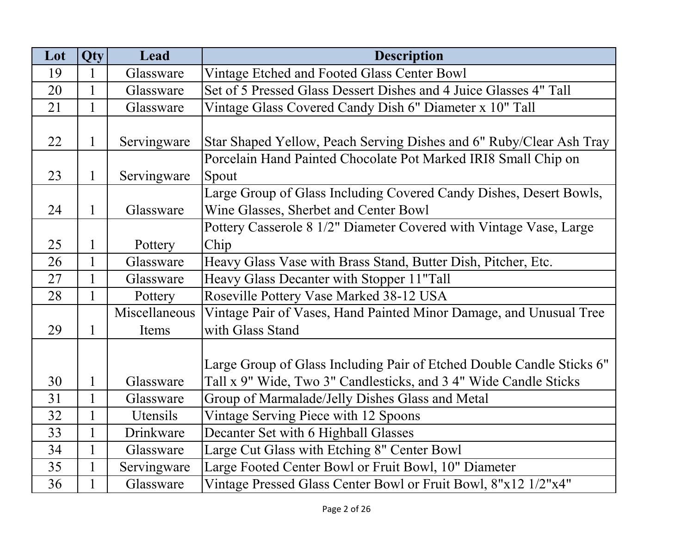| Lot | Qty          | Lead          | <b>Description</b>                                                    |
|-----|--------------|---------------|-----------------------------------------------------------------------|
| 19  | 1            | Glassware     | Vintage Etched and Footed Glass Center Bowl                           |
| 20  | $\mathbf{1}$ | Glassware     | Set of 5 Pressed Glass Dessert Dishes and 4 Juice Glasses 4" Tall     |
| 21  | $\mathbf{1}$ | Glassware     | Vintage Glass Covered Candy Dish 6" Diameter x 10" Tall               |
|     |              |               |                                                                       |
| 22  | $\mathbf{1}$ | Servingware   | Star Shaped Yellow, Peach Serving Dishes and 6" Ruby/Clear Ash Tray   |
|     |              |               | Porcelain Hand Painted Chocolate Pot Marked IRI8 Small Chip on        |
| 23  | $\mathbf{1}$ | Servingware   | Spout                                                                 |
|     |              |               | Large Group of Glass Including Covered Candy Dishes, Desert Bowls,    |
| 24  | $\mathbf{1}$ | Glassware     | Wine Glasses, Sherbet and Center Bowl                                 |
|     |              |               | Pottery Casserole 8 1/2" Diameter Covered with Vintage Vase, Large    |
| 25  | 1            | Pottery       | Chip                                                                  |
| 26  | $\mathbf{1}$ | Glassware     | Heavy Glass Vase with Brass Stand, Butter Dish, Pitcher, Etc.         |
| 27  | $\mathbf{1}$ | Glassware     | Heavy Glass Decanter with Stopper 11"Tall                             |
| 28  | $\mathbf{1}$ | Pottery       | Roseville Pottery Vase Marked 38-12 USA                               |
|     |              | Miscellaneous | Vintage Pair of Vases, Hand Painted Minor Damage, and Unusual Tree    |
| 29  | 1            | Items         | with Glass Stand                                                      |
|     |              |               |                                                                       |
|     |              |               | Large Group of Glass Including Pair of Etched Double Candle Sticks 6" |
| 30  | $\mathbf 1$  | Glassware     | Tall x 9" Wide, Two 3" Candlesticks, and 3 4" Wide Candle Sticks      |
| 31  |              | Glassware     | Group of Marmalade/Jelly Dishes Glass and Metal                       |
| 32  | $\mathbf{1}$ | Utensils      | Vintage Serving Piece with 12 Spoons                                  |
| 33  | $\mathbf{1}$ | Drinkware     | Decanter Set with 6 Highball Glasses                                  |
| 34  | $\mathbf{1}$ | Glassware     | Large Cut Glass with Etching 8" Center Bowl                           |
| 35  | 1            | Servingware   | Large Footed Center Bowl or Fruit Bowl, 10" Diameter                  |
| 36  |              | Glassware     | Vintage Pressed Glass Center Bowl or Fruit Bowl, 8"x12 1/2"x4"        |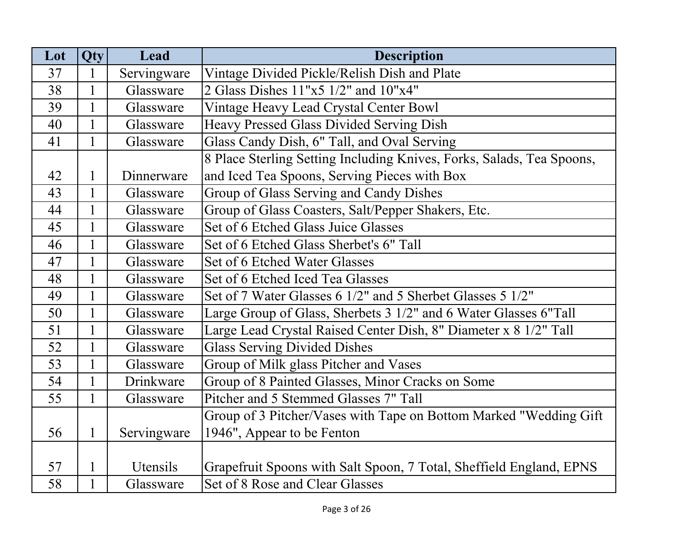| Lot | <b>Qty</b>   | Lead        | <b>Description</b>                                                    |
|-----|--------------|-------------|-----------------------------------------------------------------------|
| 37  | 1            | Servingware | Vintage Divided Pickle/Relish Dish and Plate                          |
| 38  | $\mathbf{1}$ | Glassware   | 2 Glass Dishes 11"x5 1/2" and 10"x4"                                  |
| 39  | $\mathbf{1}$ | Glassware   | Vintage Heavy Lead Crystal Center Bowl                                |
| 40  | $\mathbf{1}$ | Glassware   | Heavy Pressed Glass Divided Serving Dish                              |
| 41  | $\mathbf{1}$ | Glassware   | Glass Candy Dish, 6" Tall, and Oval Serving                           |
|     |              |             | 8 Place Sterling Setting Including Knives, Forks, Salads, Tea Spoons, |
| 42  | $\mathbf{1}$ | Dinnerware  | and Iced Tea Spoons, Serving Pieces with Box                          |
| 43  | $\mathbf{1}$ | Glassware   | Group of Glass Serving and Candy Dishes                               |
| 44  |              | Glassware   | Group of Glass Coasters, Salt/Pepper Shakers, Etc.                    |
| 45  | $\mathbf{1}$ | Glassware   | Set of 6 Etched Glass Juice Glasses                                   |
| 46  |              | Glassware   | Set of 6 Etched Glass Sherbet's 6" Tall                               |
| 47  |              | Glassware   | Set of 6 Etched Water Glasses                                         |
| 48  | $\mathbf{1}$ | Glassware   | Set of 6 Etched Iced Tea Glasses                                      |
| 49  | $\mathbf{1}$ | Glassware   | Set of 7 Water Glasses 6 1/2" and 5 Sherbet Glasses 5 1/2"            |
| 50  | $\mathbf{1}$ | Glassware   | Large Group of Glass, Sherbets 3 1/2" and 6 Water Glasses 6"Tall      |
| 51  |              | Glassware   | Large Lead Crystal Raised Center Dish, 8" Diameter x 8 1/2" Tall      |
| 52  | $\mathbf{1}$ | Glassware   | <b>Glass Serving Divided Dishes</b>                                   |
| 53  |              | Glassware   | Group of Milk glass Pitcher and Vases                                 |
| 54  | $\mathbf{1}$ | Drinkware   | Group of 8 Painted Glasses, Minor Cracks on Some                      |
| 55  | $\mathbf{1}$ | Glassware   | Pitcher and 5 Stemmed Glasses 7" Tall                                 |
|     |              |             | Group of 3 Pitcher/Vases with Tape on Bottom Marked "Wedding Gift     |
| 56  | $\mathbf{1}$ | Servingware | 1946", Appear to be Fenton                                            |
|     |              |             |                                                                       |
| 57  | $\mathbf{1}$ | Utensils    | Grapefruit Spoons with Salt Spoon, 7 Total, Sheffield England, EPNS   |
| 58  | $\mathbf{1}$ | Glassware   | Set of 8 Rose and Clear Glasses                                       |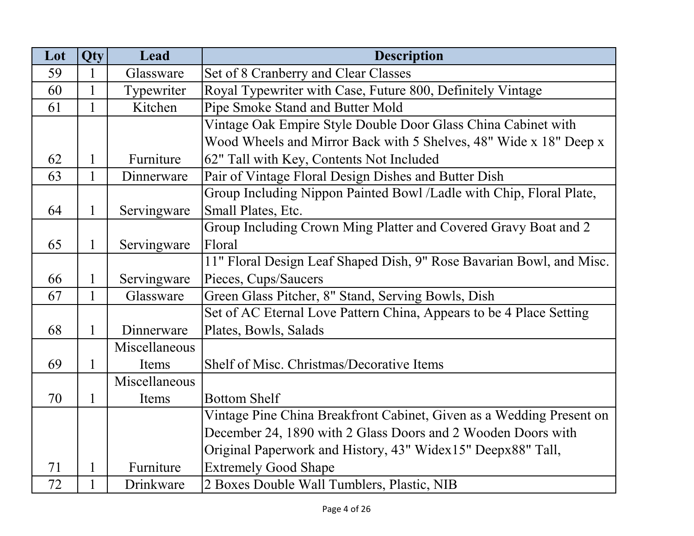| Lot | Qty          | Lead          | <b>Description</b>                                                   |
|-----|--------------|---------------|----------------------------------------------------------------------|
| 59  | 1            | Glassware     | Set of 8 Cranberry and Clear Classes                                 |
| 60  | 1            | Typewriter    | Royal Typewriter with Case, Future 800, Definitely Vintage           |
| 61  | 1            | Kitchen       | Pipe Smoke Stand and Butter Mold                                     |
|     |              |               | Vintage Oak Empire Style Double Door Glass China Cabinet with        |
|     |              |               | Wood Wheels and Mirror Back with 5 Shelves, 48" Wide x 18" Deep x    |
| 62  | 1            | Furniture     | 62" Tall with Key, Contents Not Included                             |
| 63  | 1            | Dinnerware    | Pair of Vintage Floral Design Dishes and Butter Dish                 |
|     |              |               | Group Including Nippon Painted Bowl /Ladle with Chip, Floral Plate,  |
| 64  | 1            | Servingware   | Small Plates, Etc.                                                   |
|     |              |               | Group Including Crown Ming Platter and Covered Gravy Boat and 2      |
| 65  | 1            | Servingware   | Floral                                                               |
|     |              |               | 11" Floral Design Leaf Shaped Dish, 9" Rose Bavarian Bowl, and Misc. |
| 66  | 1            | Servingware   | Pieces, Cups/Saucers                                                 |
| 67  | $\mathbf{1}$ | Glassware     | Green Glass Pitcher, 8" Stand, Serving Bowls, Dish                   |
|     |              |               | Set of AC Eternal Love Pattern China, Appears to be 4 Place Setting  |
| 68  | 1            | Dinnerware    | Plates, Bowls, Salads                                                |
|     |              | Miscellaneous |                                                                      |
| 69  | 1            | Items         | Shelf of Misc. Christmas/Decorative Items                            |
|     |              | Miscellaneous |                                                                      |
| 70  | 1            | Items         | <b>Bottom Shelf</b>                                                  |
|     |              |               | Vintage Pine China Breakfront Cabinet, Given as a Wedding Present on |
|     |              |               | December 24, 1890 with 2 Glass Doors and 2 Wooden Doors with         |
|     |              |               | Original Paperwork and History, 43" Widex15" Deepx88" Tall,          |
| 71  | 1            | Furniture     | <b>Extremely Good Shape</b>                                          |
| 72  | 1            | Drinkware     | 2 Boxes Double Wall Tumblers, Plastic, NIB                           |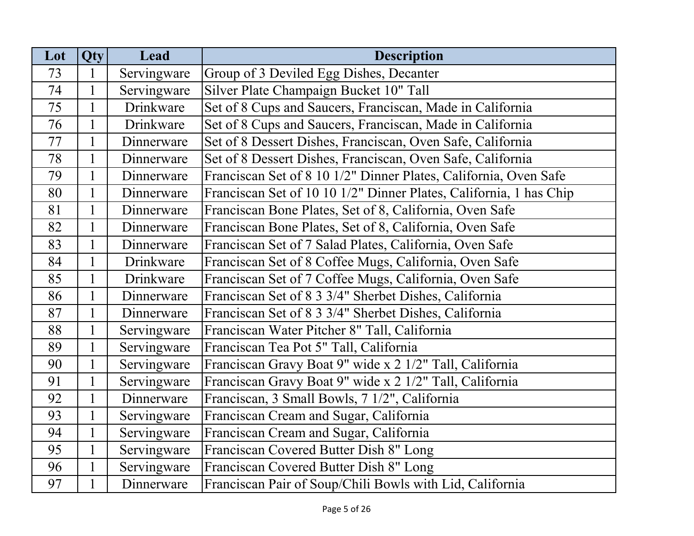| Lot | Qty          | Lead        | <b>Description</b>                                                 |
|-----|--------------|-------------|--------------------------------------------------------------------|
| 73  | 1            | Servingware | Group of 3 Deviled Egg Dishes, Decanter                            |
| 74  |              | Servingware | Silver Plate Champaign Bucket 10" Tall                             |
| 75  |              | Drinkware   | Set of 8 Cups and Saucers, Franciscan, Made in California          |
| 76  |              | Drinkware   | Set of 8 Cups and Saucers, Franciscan, Made in California          |
| 77  |              | Dinnerware  | Set of 8 Dessert Dishes, Franciscan, Oven Safe, California         |
| 78  |              | Dinnerware  | Set of 8 Dessert Dishes, Franciscan, Oven Safe, California         |
| 79  | $\mathbf{1}$ | Dinnerware  | Franciscan Set of 8 10 1/2" Dinner Plates, California, Oven Safe   |
| 80  | 1            | Dinnerware  | Franciscan Set of 10 10 1/2" Dinner Plates, California, 1 has Chip |
| 81  |              | Dinnerware  | Franciscan Bone Plates, Set of 8, California, Oven Safe            |
| 82  | $\mathbf{1}$ | Dinnerware  | Franciscan Bone Plates, Set of 8, California, Oven Safe            |
| 83  |              | Dinnerware  | Franciscan Set of 7 Salad Plates, California, Oven Safe            |
| 84  |              | Drinkware   | Franciscan Set of 8 Coffee Mugs, California, Oven Safe             |
| 85  |              | Drinkware   | Franciscan Set of 7 Coffee Mugs, California, Oven Safe             |
| 86  | $\mathbf{1}$ | Dinnerware  | Franciscan Set of 8 3 3/4" Sherbet Dishes, California              |
| 87  | $\mathbf{1}$ | Dinnerware  | Franciscan Set of 8 3 3/4" Sherbet Dishes, California              |
| 88  |              | Servingware | Franciscan Water Pitcher 8" Tall, California                       |
| 89  | $\mathbf{1}$ | Servingware | Franciscan Tea Pot 5" Tall, California                             |
| 90  |              | Servingware | Franciscan Gravy Boat 9" wide x 2 1/2" Tall, California            |
| 91  | $\mathbf{1}$ | Servingware | Franciscan Gravy Boat 9" wide x 2 1/2" Tall, California            |
| 92  |              | Dinnerware  | Franciscan, 3 Small Bowls, 7 1/2", California                      |
| 93  |              | Servingware | Franciscan Cream and Sugar, California                             |
| 94  | $\mathbf{1}$ | Servingware | Franciscan Cream and Sugar, California                             |
| 95  | $\mathbf{1}$ | Servingware | Franciscan Covered Butter Dish 8" Long                             |
| 96  |              | Servingware | Franciscan Covered Butter Dish 8" Long                             |
| 97  |              | Dinnerware  | Franciscan Pair of Soup/Chili Bowls with Lid, California           |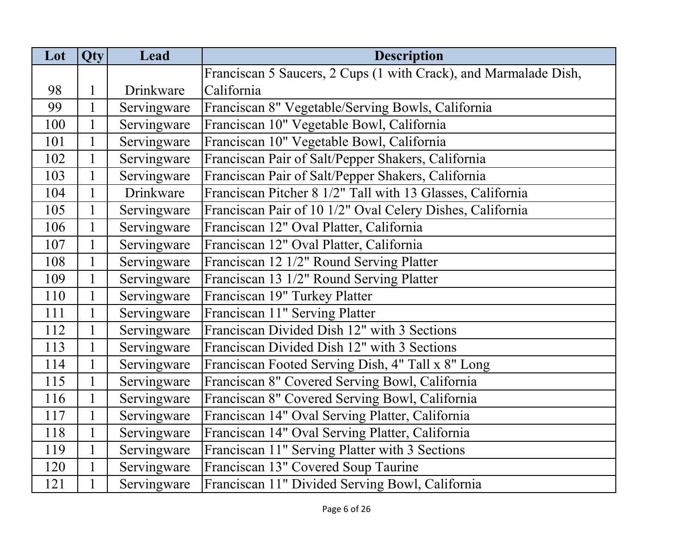| Lot | Qty          | Lead        | <b>Description</b>                                               |
|-----|--------------|-------------|------------------------------------------------------------------|
|     |              |             | Franciscan 5 Saucers, 2 Cups (1 with Crack), and Marmalade Dish, |
| 98  | $\mathbf 1$  | Drinkware   | California                                                       |
| 99  | $\mathbf{1}$ | Servingware | Franciscan 8" Vegetable/Serving Bowls, California                |
| 100 | $\mathbf{1}$ | Servingware | Franciscan 10" Vegetable Bowl, California                        |
| 101 | $\mathbf{1}$ | Servingware | Franciscan 10" Vegetable Bowl, California                        |
| 102 | $\mathbf{1}$ | Servingware | Franciscan Pair of Salt/Pepper Shakers, California               |
| 103 | $\mathbf{1}$ | Servingware | Franciscan Pair of Salt/Pepper Shakers, California               |
| 104 | $\mathbf{1}$ | Drinkware   | Franciscan Pitcher 8 1/2" Tall with 13 Glasses, California       |
| 105 | $\mathbf{1}$ | Servingware | Franciscan Pair of 10 1/2" Oval Celery Dishes, California        |
| 106 | $\mathbf{1}$ | Servingware | Franciscan 12" Oval Platter, California                          |
| 107 | $\mathbf{1}$ | Servingware | Franciscan 12" Oval Platter, California                          |
| 108 | $\mathbf{1}$ | Servingware | Franciscan 12 1/2" Round Serving Platter                         |
| 109 | $\mathbf{1}$ | Servingware | Franciscan 13 1/2" Round Serving Platter                         |
| 110 | $\mathbf{1}$ | Servingware | Franciscan 19" Turkey Platter                                    |
| 111 | $\mathbf{1}$ | Servingware | Franciscan 11" Serving Platter                                   |
| 112 | $\mathbf{1}$ | Servingware | Franciscan Divided Dish 12" with 3 Sections                      |
| 113 | $\mathbf{1}$ | Servingware | Franciscan Divided Dish 12" with 3 Sections                      |
| 114 | $\mathbf{1}$ | Servingware | Franciscan Footed Serving Dish, 4" Tall x 8" Long                |
| 115 | $\mathbf{1}$ | Servingware | Franciscan 8" Covered Serving Bowl, California                   |
| 116 | $\mathbf{1}$ | Servingware | Franciscan 8" Covered Serving Bowl, California                   |
| 117 | 1            | Servingware | Franciscan 14" Oval Serving Platter, California                  |
| 118 | $\mathbf{1}$ | Servingware | Franciscan 14" Oval Serving Platter, California                  |
| 119 | $\mathbf{1}$ | Servingware | Franciscan 11" Serving Platter with 3 Sections                   |
| 120 | $\mathbf{1}$ | Servingware | Franciscan 13" Covered Soup Taurine                              |
| 121 | $\mathbf 1$  | Servingware | Franciscan 11" Divided Serving Bowl, California                  |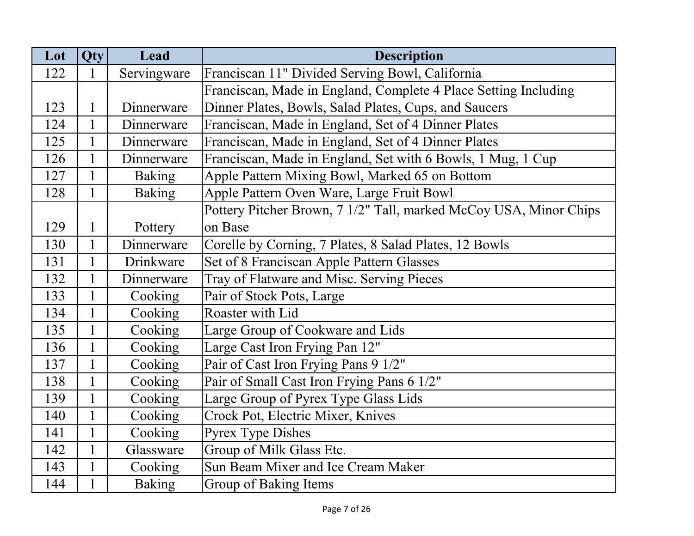| Lot | Qty          | Lead          | <b>Description</b>                                                |
|-----|--------------|---------------|-------------------------------------------------------------------|
| 122 | 1            | Servingware   | Franciscan 11" Divided Serving Bowl, California                   |
|     |              |               | Franciscan, Made in England, Complete 4 Place Setting Including   |
| 123 | $\mathbf{1}$ | Dinnerware    | Dinner Plates, Bowls, Salad Plates, Cups, and Saucers             |
| 124 | $\mathbf{1}$ | Dinnerware    | Franciscan, Made in England, Set of 4 Dinner Plates               |
| 125 | $\mathbf{1}$ | Dinnerware    | Franciscan, Made in England, Set of 4 Dinner Plates               |
| 126 | $\mathbf{1}$ | Dinnerware    | Franciscan, Made in England, Set with 6 Bowls, 1 Mug, 1 Cup       |
| 127 | $\mathbf{1}$ | Baking        | Apple Pattern Mixing Bowl, Marked 65 on Bottom                    |
| 128 | $\mathbf{1}$ | <b>Baking</b> | Apple Pattern Oven Ware, Large Fruit Bowl                         |
|     |              |               | Pottery Pitcher Brown, 7 1/2" Tall, marked McCoy USA, Minor Chips |
| 129 | $\mathbf{1}$ | Pottery       | on Base                                                           |
| 130 | $\mathbf{1}$ | Dinnerware    | Corelle by Corning, 7 Plates, 8 Salad Plates, 12 Bowls            |
| 131 | $\mathbf{1}$ | Drinkware     | Set of 8 Franciscan Apple Pattern Glasses                         |
| 132 | $\mathbf{1}$ | Dinnerware    | Tray of Flatware and Misc. Serving Pieces                         |
| 133 | $\mathbf{1}$ | Cooking       | Pair of Stock Pots, Large                                         |
| 134 | $\mathbf{1}$ | Cooking       | Roaster with Lid                                                  |
| 135 | $\mathbf{1}$ | Cooking       | Large Group of Cookware and Lids                                  |
| 136 | $\mathbf{1}$ | Cooking       | Large Cast Iron Frying Pan 12"                                    |
| 137 | $\mathbf{1}$ | Cooking       | Pair of Cast Iron Frying Pans 9 1/2"                              |
| 138 | $\mathbf{1}$ | Cooking       | Pair of Small Cast Iron Frying Pans 6 1/2"                        |
| 139 | $\mathbf{1}$ | Cooking       | Large Group of Pyrex Type Glass Lids                              |
| 140 | $\mathbf{1}$ | Cooking       | Crock Pot, Electric Mixer, Knives                                 |
| 141 | $\mathbf{1}$ | Cooking       | <b>Pyrex Type Dishes</b>                                          |
| 142 | $\mathbf{1}$ | Glassware     | Group of Milk Glass Etc.                                          |
| 143 | $\mathbf{1}$ | Cooking       | Sun Beam Mixer and Ice Cream Maker                                |
| 144 | $\mathbf{1}$ | <b>Baking</b> | Group of Baking Items                                             |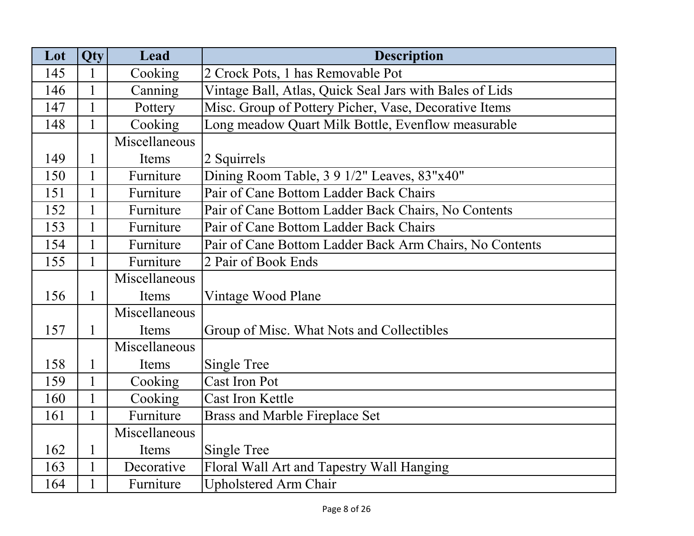| Lot | <b>Qty</b>   | Lead          | <b>Description</b>                                      |
|-----|--------------|---------------|---------------------------------------------------------|
| 145 | 1            | Cooking       | 2 Crock Pots, 1 has Removable Pot                       |
| 146 | $\mathbf{1}$ | Canning       | Vintage Ball, Atlas, Quick Seal Jars with Bales of Lids |
| 147 | $\mathbf{1}$ | Pottery       | Misc. Group of Pottery Picher, Vase, Decorative Items   |
| 148 | $\mathbf{1}$ | Cooking       | Long meadow Quart Milk Bottle, Evenflow measurable      |
|     |              | Miscellaneous |                                                         |
| 149 | 1            | Items         | 2 Squirrels                                             |
| 150 | $\mathbf{1}$ | Furniture     | Dining Room Table, 3 9 1/2" Leaves, 83"x40"             |
| 151 | $\mathbf{1}$ | Furniture     | Pair of Cane Bottom Ladder Back Chairs                  |
| 152 | $\mathbf{1}$ | Furniture     | Pair of Cane Bottom Ladder Back Chairs, No Contents     |
| 153 |              | Furniture     | Pair of Cane Bottom Ladder Back Chairs                  |
| 154 | $\mathbf{1}$ | Furniture     | Pair of Cane Bottom Ladder Back Arm Chairs, No Contents |
| 155 | $\mathbf{1}$ | Furniture     | 2 Pair of Book Ends                                     |
|     |              | Miscellaneous |                                                         |
| 156 | $\mathbf{1}$ | Items         | Vintage Wood Plane                                      |
|     |              | Miscellaneous |                                                         |
| 157 | $\mathbf{1}$ | Items         | Group of Misc. What Nots and Collectibles               |
|     |              | Miscellaneous |                                                         |
| 158 | 1            | Items         | <b>Single Tree</b>                                      |
| 159 | $\mathbf{1}$ | Cooking       | <b>Cast Iron Pot</b>                                    |
| 160 | $\mathbf{1}$ | Cooking       | <b>Cast Iron Kettle</b>                                 |
| 161 | $\mathbf{1}$ | Furniture     | Brass and Marble Fireplace Set                          |
|     |              | Miscellaneous |                                                         |
| 162 | $\mathbf{1}$ | Items         | Single Tree                                             |
| 163 | $\mathbf{1}$ | Decorative    | Floral Wall Art and Tapestry Wall Hanging               |
| 164 |              | Furniture     | <b>Upholstered Arm Chair</b>                            |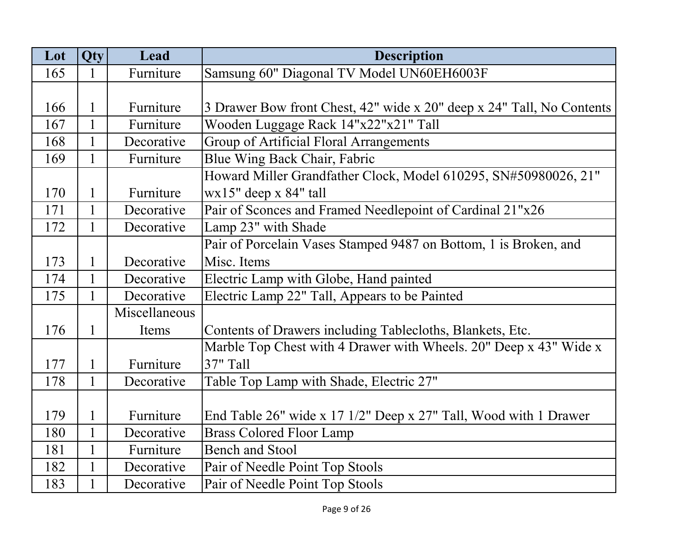| Lot | Qty          | Lead          | <b>Description</b>                                                    |
|-----|--------------|---------------|-----------------------------------------------------------------------|
| 165 | 1            | Furniture     | Samsung 60" Diagonal TV Model UN60EH6003F                             |
|     |              |               |                                                                       |
| 166 | $\mathbf{1}$ | Furniture     | 3 Drawer Bow front Chest, 42" wide x 20" deep x 24" Tall, No Contents |
| 167 | $\mathbf{1}$ | Furniture     | Wooden Luggage Rack 14"x22"x21" Tall                                  |
| 168 | $\mathbf{1}$ | Decorative    | Group of Artificial Floral Arrangements                               |
| 169 | $\mathbf{1}$ | Furniture     | Blue Wing Back Chair, Fabric                                          |
|     |              |               | Howard Miller Grandfather Clock, Model 610295, SN#50980026, 21"       |
| 170 | $\mathbf{1}$ | Furniture     | $wx15"$ deep x 84" tall                                               |
| 171 | $\mathbf{1}$ | Decorative    | Pair of Sconces and Framed Needlepoint of Cardinal 21"x26             |
| 172 | 1            | Decorative    | Lamp 23" with Shade                                                   |
|     |              |               | Pair of Porcelain Vases Stamped 9487 on Bottom, 1 is Broken, and      |
| 173 | $\mathbf{1}$ | Decorative    | Misc. Items                                                           |
| 174 | $\mathbf{1}$ | Decorative    | Electric Lamp with Globe, Hand painted                                |
| 175 | $\mathbf{1}$ | Decorative    | Electric Lamp 22" Tall, Appears to be Painted                         |
|     |              | Miscellaneous |                                                                       |
| 176 | 1            | Items         | Contents of Drawers including Tablecloths, Blankets, Etc.             |
|     |              |               | Marble Top Chest with 4 Drawer with Wheels. 20" Deep x 43" Wide x     |
| 177 | $\mathbf{1}$ | Furniture     | 37" Tall                                                              |
| 178 | $\mathbf{1}$ | Decorative    | Table Top Lamp with Shade, Electric 27"                               |
|     |              |               |                                                                       |
| 179 | $\mathbf{1}$ | Furniture     | End Table 26" wide x 17 1/2" Deep x 27" Tall, Wood with 1 Drawer      |
| 180 | $\mathbf{1}$ | Decorative    | <b>Brass Colored Floor Lamp</b>                                       |
| 181 | $\mathbf{1}$ | Furniture     | <b>Bench and Stool</b>                                                |
| 182 | $\mathbf{1}$ | Decorative    | Pair of Needle Point Top Stools                                       |
| 183 | $\mathbf{1}$ | Decorative    | Pair of Needle Point Top Stools                                       |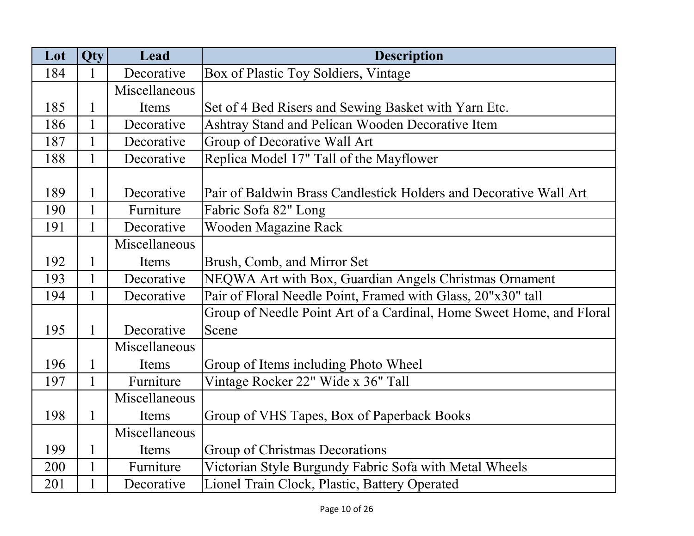| Lot | Qty          | Lead          | <b>Description</b>                                                   |
|-----|--------------|---------------|----------------------------------------------------------------------|
| 184 | 1            | Decorative    | Box of Plastic Toy Soldiers, Vintage                                 |
|     |              | Miscellaneous |                                                                      |
| 185 |              | Items         | Set of 4 Bed Risers and Sewing Basket with Yarn Etc.                 |
| 186 | $\mathbf{1}$ | Decorative    | Ashtray Stand and Pelican Wooden Decorative Item                     |
| 187 |              | Decorative    | Group of Decorative Wall Art                                         |
| 188 |              | Decorative    | Replica Model 17" Tall of the Mayflower                              |
|     |              |               |                                                                      |
| 189 | 1            | Decorative    | Pair of Baldwin Brass Candlestick Holders and Decorative Wall Art    |
| 190 |              | Furniture     | Fabric Sofa 82" Long                                                 |
| 191 | $\mathbf{1}$ | Decorative    | Wooden Magazine Rack                                                 |
|     |              | Miscellaneous |                                                                      |
| 192 |              | Items         | Brush, Comb, and Mirror Set                                          |
| 193 | $\mathbf{1}$ | Decorative    | NEQWA Art with Box, Guardian Angels Christmas Ornament               |
| 194 | 1            | Decorative    | Pair of Floral Needle Point, Framed with Glass, 20"x30" tall         |
|     |              |               | Group of Needle Point Art of a Cardinal, Home Sweet Home, and Floral |
| 195 |              | Decorative    | Scene                                                                |
|     |              | Miscellaneous |                                                                      |
| 196 |              | Items         | Group of Items including Photo Wheel                                 |
| 197 | $\mathbf{1}$ | Furniture     | Vintage Rocker 22" Wide x 36" Tall                                   |
|     |              | Miscellaneous |                                                                      |
| 198 | $\mathbf{1}$ | Items         | Group of VHS Tapes, Box of Paperback Books                           |
|     |              | Miscellaneous |                                                                      |
| 199 | 1            | Items         | Group of Christmas Decorations                                       |
| 200 | $\mathbf{1}$ | Furniture     | Victorian Style Burgundy Fabric Sofa with Metal Wheels               |
| 201 |              | Decorative    | Lionel Train Clock, Plastic, Battery Operated                        |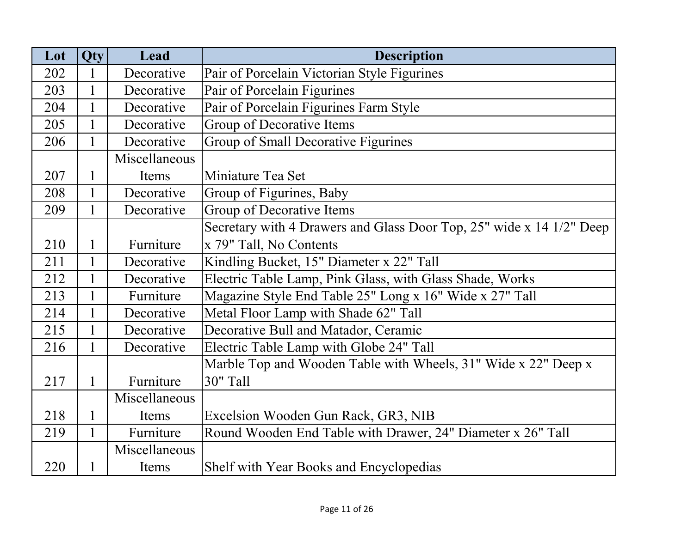| Lot | <b>Qty</b>   | Lead          | <b>Description</b>                                                   |
|-----|--------------|---------------|----------------------------------------------------------------------|
| 202 | 1            | Decorative    | Pair of Porcelain Victorian Style Figurines                          |
| 203 | 1            | Decorative    | Pair of Porcelain Figurines                                          |
| 204 | 1            | Decorative    | Pair of Porcelain Figurines Farm Style                               |
| 205 | 1            | Decorative    | Group of Decorative Items                                            |
| 206 | 1            | Decorative    | Group of Small Decorative Figurines                                  |
|     |              | Miscellaneous |                                                                      |
| 207 | 1            | Items         | Miniature Tea Set                                                    |
| 208 | 1            | Decorative    | Group of Figurines, Baby                                             |
| 209 | 1            | Decorative    | Group of Decorative Items                                            |
|     |              |               | Secretary with 4 Drawers and Glass Door Top, 25" wide x 14 1/2" Deep |
| 210 | 1            | Furniture     | x 79" Tall, No Contents                                              |
| 211 | 1            | Decorative    | Kindling Bucket, 15" Diameter x 22" Tall                             |
| 212 | $\mathbf{1}$ | Decorative    | Electric Table Lamp, Pink Glass, with Glass Shade, Works             |
| 213 | 1            | Furniture     | Magazine Style End Table 25" Long x 16" Wide x 27" Tall              |
| 214 | $\mathbf{1}$ | Decorative    | Metal Floor Lamp with Shade 62" Tall                                 |
| 215 |              | Decorative    | Decorative Bull and Matador, Ceramic                                 |
| 216 |              | Decorative    | Electric Table Lamp with Globe 24" Tall                              |
|     |              |               | Marble Top and Wooden Table with Wheels, 31" Wide x 22" Deep x       |
| 217 | $\mathbf{1}$ | Furniture     | 30" Tall                                                             |
|     |              | Miscellaneous |                                                                      |
| 218 | 1            | Items         | Excelsion Wooden Gun Rack, GR3, NIB                                  |
| 219 | 1            | Furniture     | Round Wooden End Table with Drawer, 24" Diameter x 26" Tall          |
|     |              | Miscellaneous |                                                                      |
| 220 |              | Items         | Shelf with Year Books and Encyclopedias                              |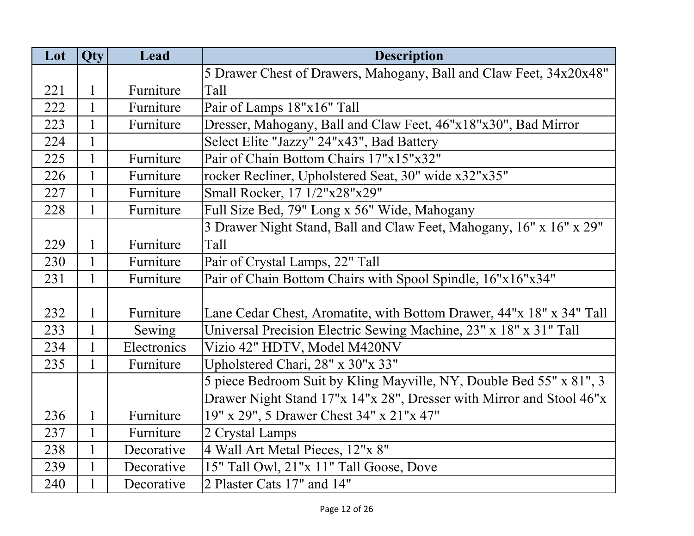| Lot | Qty          | Lead        | <b>Description</b>                                                   |
|-----|--------------|-------------|----------------------------------------------------------------------|
|     |              |             | 5 Drawer Chest of Drawers, Mahogany, Ball and Claw Feet, 34x20x48"   |
| 221 | $\mathbf{1}$ | Furniture   | Tall                                                                 |
| 222 | $\mathbf{1}$ | Furniture   | Pair of Lamps 18"x16" Tall                                           |
| 223 | $\mathbf{1}$ | Furniture   | Dresser, Mahogany, Ball and Claw Feet, 46"x18"x30", Bad Mirror       |
| 224 | $\mathbf{1}$ |             | Select Elite "Jazzy" 24"x43", Bad Battery                            |
| 225 | $\mathbf{1}$ | Furniture   | Pair of Chain Bottom Chairs 17"x15"x32"                              |
| 226 | $\mathbf{1}$ | Furniture   | rocker Recliner, Upholstered Seat, 30" wide x32"x35"                 |
| 227 | $\mathbf{1}$ | Furniture   | Small Rocker, 17 1/2"x28"x29"                                        |
| 228 | 1            | Furniture   | Full Size Bed, 79" Long x 56" Wide, Mahogany                         |
|     |              |             | 3 Drawer Night Stand, Ball and Claw Feet, Mahogany, 16" x 16" x 29"  |
| 229 | $\mathbf{1}$ | Furniture   | Tall                                                                 |
| 230 | $\mathbf{1}$ | Furniture   | Pair of Crystal Lamps, 22" Tall                                      |
| 231 | 1            | Furniture   | Pair of Chain Bottom Chairs with Spool Spindle, 16"x16"x34"          |
|     |              |             |                                                                      |
| 232 | $\mathbf{1}$ | Furniture   | Lane Cedar Chest, Aromatite, with Bottom Drawer, 44"x 18" x 34" Tall |
| 233 | $\mathbf{1}$ | Sewing      | Universal Precision Electric Sewing Machine, 23" x 18" x 31" Tall    |
| 234 | $\mathbf{1}$ | Electronics | Vizio 42" HDTV, Model M420NV                                         |
| 235 | $\mathbf{1}$ | Furniture   | Upholstered Chari, 28" x 30"x 33"                                    |
|     |              |             | 5 piece Bedroom Suit by Kling Mayville, NY, Double Bed 55" x 81", 3  |
|     |              |             | Drawer Night Stand 17"x 14"x 28", Dresser with Mirror and Stool 46"x |
| 236 | 1            | Furniture   | 19" x 29", 5 Drawer Chest 34" x 21"x 47"                             |
| 237 | $\mathbf{1}$ | Furniture   | 2 Crystal Lamps                                                      |
| 238 | $\mathbf{1}$ | Decorative  | 4 Wall Art Metal Pieces, 12"x 8"                                     |
| 239 | $\mathbf{1}$ | Decorative  | 15" Tall Owl, 21"x 11" Tall Goose, Dove                              |
| 240 | $\mathbf{1}$ | Decorative  | 2 Plaster Cats 17" and 14"                                           |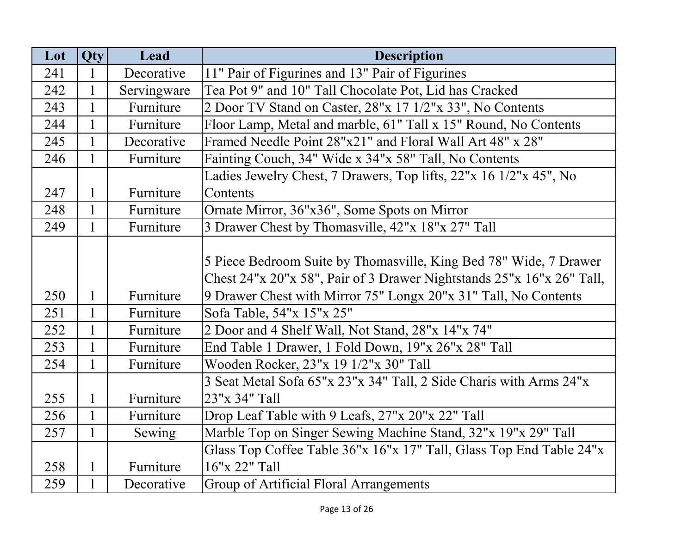| Lot | Qty          | Lead        | <b>Description</b>                                                    |
|-----|--------------|-------------|-----------------------------------------------------------------------|
| 241 | 1            | Decorative  | 11" Pair of Figurines and 13" Pair of Figurines                       |
| 242 | $\mathbf{1}$ | Servingware | Tea Pot 9" and 10" Tall Chocolate Pot, Lid has Cracked                |
| 243 | $\mathbf{1}$ | Furniture   | 2 Door TV Stand on Caster, 28"x 17 1/2"x 33", No Contents             |
| 244 | $\mathbf{1}$ | Furniture   | Floor Lamp, Metal and marble, 61" Tall x 15" Round, No Contents       |
| 245 | $\mathbf{1}$ | Decorative  | Framed Needle Point 28"x21" and Floral Wall Art 48" x 28"             |
| 246 | $\mathbf{1}$ | Furniture   | Fainting Couch, 34" Wide x 34"x 58" Tall, No Contents                 |
|     |              |             | Ladies Jewelry Chest, 7 Drawers, Top lifts, 22"x 16 1/2"x 45", No     |
| 247 | $\mathbf{1}$ | Furniture   | Contents                                                              |
| 248 | $\mathbf{1}$ | Furniture   | Ornate Mirror, 36"x36", Some Spots on Mirror                          |
| 249 | 1            | Furniture   | 3 Drawer Chest by Thomasville, 42"x 18"x 27" Tall                     |
|     |              |             |                                                                       |
|     |              |             | 5 Piece Bedroom Suite by Thomasville, King Bed 78" Wide, 7 Drawer     |
|     |              |             | Chest 24"x 20"x 58", Pair of 3 Drawer Nightstands 25"x 16"x 26" Tall, |
| 250 | $\mathbf{1}$ | Furniture   | 9 Drawer Chest with Mirror 75" Longx 20"x 31" Tall, No Contents       |
| 251 | $\mathbf{1}$ | Furniture   | Sofa Table, 54"x 15"x 25"                                             |
| 252 | $\mathbf{1}$ | Furniture   | 2 Door and 4 Shelf Wall, Not Stand, 28"x 14"x 74"                     |
| 253 | $\mathbf{1}$ | Furniture   | End Table 1 Drawer, 1 Fold Down, 19"x 26"x 28" Tall                   |
| 254 | $\mathbf{1}$ | Furniture   | Wooden Rocker, 23"x 19 1/2"x 30" Tall                                 |
|     |              |             | 3 Seat Metal Sofa 65"x 23"x 34" Tall, 2 Side Charis with Arms 24"x    |
| 255 | $\mathbf{1}$ | Furniture   | 23"x 34" Tall                                                         |
| 256 | $\mathbf{1}$ | Furniture   | Drop Leaf Table with 9 Leafs, 27"x 20"x 22" Tall                      |
| 257 | $\mathbf{1}$ | Sewing      | Marble Top on Singer Sewing Machine Stand, 32"x 19"x 29" Tall         |
|     |              |             | Glass Top Coffee Table 36"x 16"x 17" Tall, Glass Top End Table 24"x   |
| 258 | $\mathbf{1}$ | Furniture   | 16"x 22" Tall                                                         |
| 259 | 1            | Decorative  | Group of Artificial Floral Arrangements                               |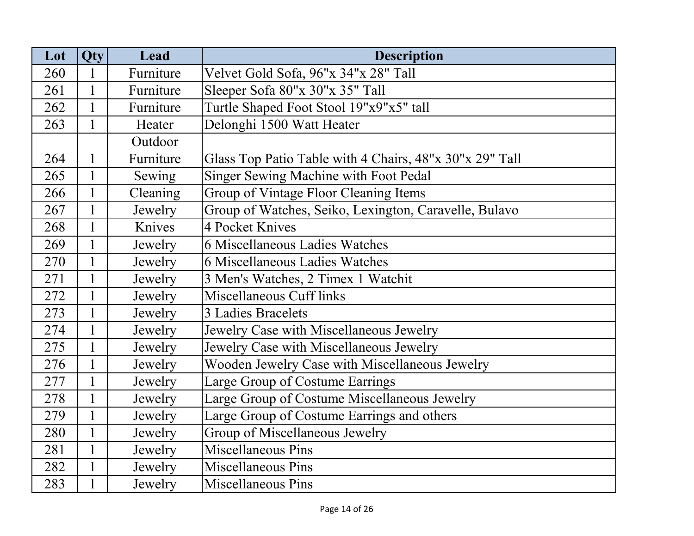| Lot | Qty          | Lead      | <b>Description</b>                                      |
|-----|--------------|-----------|---------------------------------------------------------|
| 260 | 1            | Furniture | Velvet Gold Sofa, 96"x 34"x 28" Tall                    |
| 261 | 1            | Furniture | Sleeper Sofa 80"x 30"x 35" Tall                         |
| 262 | $\mathbf{1}$ | Furniture | Turtle Shaped Foot Stool 19"x9"x5" tall                 |
| 263 | 1            | Heater    | Delonghi 1500 Watt Heater                               |
|     |              | Outdoor   |                                                         |
| 264 |              | Furniture | Glass Top Patio Table with 4 Chairs, 48"x 30"x 29" Tall |
| 265 | $\mathbf{1}$ | Sewing    | Singer Sewing Machine with Foot Pedal                   |
| 266 | $\mathbf{1}$ | Cleaning  | Group of Vintage Floor Cleaning Items                   |
| 267 | $\mathbf{1}$ | Jewelry   | Group of Watches, Seiko, Lexington, Caravelle, Bulavo   |
| 268 | $\mathbf{1}$ | Knives    | 4 Pocket Knives                                         |
| 269 | $\mathbf{1}$ | Jewelry   | 6 Miscellaneous Ladies Watches                          |
| 270 |              | Jewelry   | 6 Miscellaneous Ladies Watches                          |
| 271 | $\mathbf{1}$ | Jewelry   | 3 Men's Watches, 2 Timex 1 Watchit                      |
| 272 | $\mathbf{1}$ | Jewelry   | Miscellaneous Cuff links                                |
| 273 | $\mathbf{1}$ | Jewelry   | 3 Ladies Bracelets                                      |
| 274 | $\mathbf{1}$ | Jewelry   | Jewelry Case with Miscellaneous Jewelry                 |
| 275 | $\mathbf{1}$ | Jewelry   | Jewelry Case with Miscellaneous Jewelry                 |
| 276 | $\mathbf{1}$ | Jewelry   | Wooden Jewelry Case with Miscellaneous Jewelry          |
| 277 | $\mathbf{1}$ | Jewelry   | Large Group of Costume Earrings                         |
| 278 |              | Jewelry   | Large Group of Costume Miscellaneous Jewelry            |
| 279 | $\mathbf{1}$ | Jewelry   | Large Group of Costume Earrings and others              |
| 280 | $\mathbf{1}$ | Jewelry   | Group of Miscellaneous Jewelry                          |
| 281 | $\mathbf{1}$ | Jewelry   | Miscellaneous Pins                                      |
| 282 | $\mathbf{1}$ | Jewelry   | <b>Miscellaneous Pins</b>                               |
| 283 |              | Jewelry   | <b>Miscellaneous Pins</b>                               |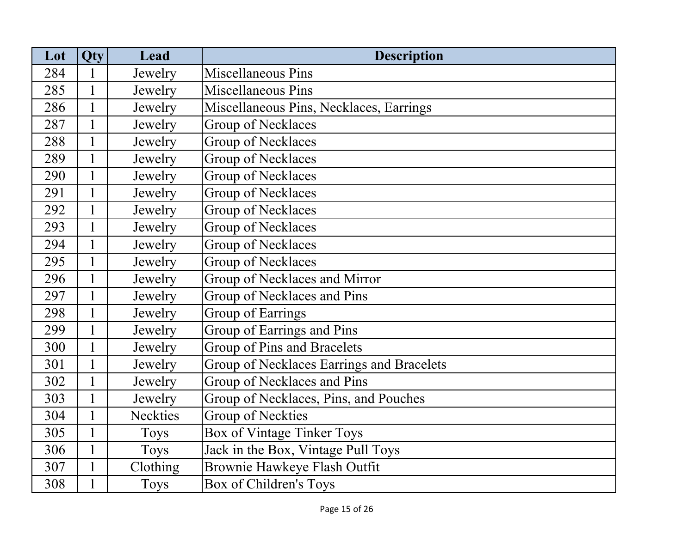| Lot | Qty          | Lead            | <b>Description</b>                        |
|-----|--------------|-----------------|-------------------------------------------|
| 284 | 1            | Jewelry         | <b>Miscellaneous Pins</b>                 |
| 285 | $\mathbf{1}$ | Jewelry         | <b>Miscellaneous Pins</b>                 |
| 286 | $\mathbf{1}$ | Jewelry         | Miscellaneous Pins, Necklaces, Earrings   |
| 287 |              | Jewelry         | Group of Necklaces                        |
| 288 | $\mathbf{1}$ | Jewelry         | Group of Necklaces                        |
| 289 | $\mathbf{1}$ | Jewelry         | Group of Necklaces                        |
| 290 | $\mathbf{1}$ | Jewelry         | Group of Necklaces                        |
| 291 | $\mathbf{1}$ | Jewelry         | Group of Necklaces                        |
| 292 | $\mathbf{1}$ | Jewelry         | Group of Necklaces                        |
| 293 | $\mathbf{1}$ | Jewelry         | Group of Necklaces                        |
| 294 | $\mathbf{1}$ | Jewelry         | Group of Necklaces                        |
| 295 | $\mathbf{1}$ | Jewelry         | Group of Necklaces                        |
| 296 | $\mathbf{1}$ | Jewelry         | Group of Necklaces and Mirror             |
| 297 | $\mathbf{1}$ | Jewelry         | Group of Necklaces and Pins               |
| 298 | $\mathbf{1}$ | Jewelry         | Group of Earrings                         |
| 299 | $\mathbf{1}$ | Jewelry         | Group of Earrings and Pins                |
| 300 | $\mathbf{1}$ | Jewelry         | Group of Pins and Bracelets               |
| 301 | $\mathbf{1}$ | Jewelry         | Group of Necklaces Earrings and Bracelets |
| 302 | $\mathbf{1}$ | Jewelry         | Group of Necklaces and Pins               |
| 303 | $\mathbf{1}$ | Jewelry         | Group of Necklaces, Pins, and Pouches     |
| 304 | $\mathbf{1}$ | <b>Neckties</b> | <b>Group of Neckties</b>                  |
| 305 | $\mathbf{1}$ | <b>Toys</b>     | Box of Vintage Tinker Toys                |
| 306 | $\mathbf{1}$ | <b>Toys</b>     | Jack in the Box, Vintage Pull Toys        |
| 307 | $\mathbf{1}$ | Clothing        | Brownie Hawkeye Flash Outfit              |
| 308 |              | <b>Toys</b>     | Box of Children's Toys                    |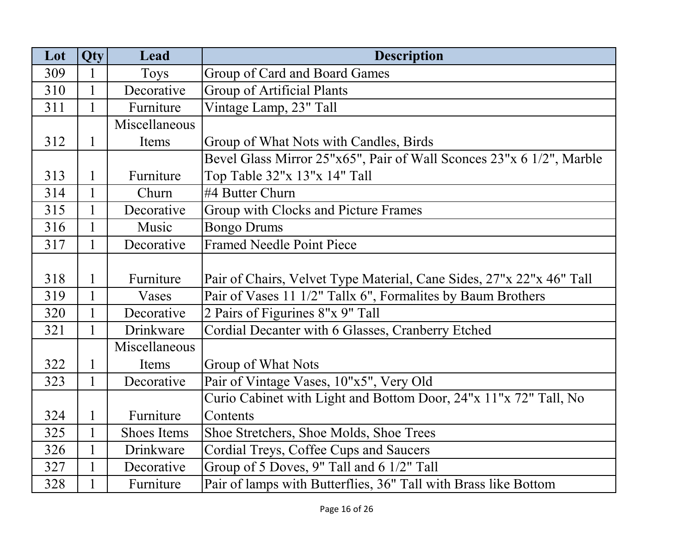| Lot | Qty          | Lead               | <b>Description</b>                                                   |
|-----|--------------|--------------------|----------------------------------------------------------------------|
| 309 | 1            | <b>Toys</b>        | Group of Card and Board Games                                        |
| 310 | $\mathbf{1}$ | Decorative         | <b>Group of Artificial Plants</b>                                    |
| 311 | $\mathbf{1}$ | Furniture          | Vintage Lamp, 23" Tall                                               |
|     |              | Miscellaneous      |                                                                      |
| 312 | $\mathbf{1}$ | Items              | Group of What Nots with Candles, Birds                               |
|     |              |                    | Bevel Glass Mirror 25"x65", Pair of Wall Sconces 23"x 6 1/2", Marble |
| 313 | $\mathbf{1}$ | Furniture          | Top Table 32"x 13"x 14" Tall                                         |
| 314 | $\mathbf{1}$ | Churn              | #4 Butter Churn                                                      |
| 315 | $\mathbf{1}$ | Decorative         | Group with Clocks and Picture Frames                                 |
| 316 | $\mathbf{1}$ | Music              | <b>Bongo Drums</b>                                                   |
| 317 | $\mathbf{1}$ | Decorative         | <b>Framed Needle Point Piece</b>                                     |
|     |              |                    |                                                                      |
| 318 | $\mathbf{1}$ | Furniture          | Pair of Chairs, Velvet Type Material, Cane Sides, 27"x 22"x 46" Tall |
| 319 | $\mathbf{1}$ | Vases              | Pair of Vases 11 1/2" Tallx 6", Formalites by Baum Brothers          |
| 320 | $\mathbf{1}$ | Decorative         | 2 Pairs of Figurines 8"x 9" Tall                                     |
| 321 | $\mathbf{1}$ | Drinkware          | Cordial Decanter with 6 Glasses, Cranberry Etched                    |
|     |              | Miscellaneous      |                                                                      |
| 322 | $\mathbf{1}$ | Items              | Group of What Nots                                                   |
| 323 | $\mathbf{1}$ | Decorative         | Pair of Vintage Vases, 10"x5", Very Old                              |
|     |              |                    | Curio Cabinet with Light and Bottom Door, 24"x 11"x 72" Tall, No     |
| 324 | $\mathbf{1}$ | Furniture          | Contents                                                             |
| 325 | $\mathbf{1}$ | <b>Shoes Items</b> | Shoe Stretchers, Shoe Molds, Shoe Trees                              |
| 326 | $\mathbf{1}$ | Drinkware          | Cordial Treys, Coffee Cups and Saucers                               |
| 327 | $\mathbf{1}$ | Decorative         | Group of 5 Doves, 9" Tall and 6 1/2" Tall                            |
| 328 | $\mathbf{1}$ | Furniture          | Pair of lamps with Butterflies, 36" Tall with Brass like Bottom      |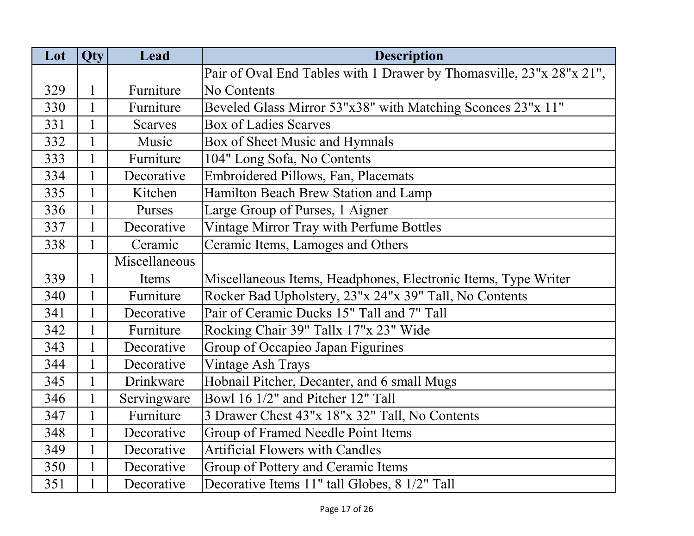| Lot | Qty          | Lead           | <b>Description</b>                                                   |
|-----|--------------|----------------|----------------------------------------------------------------------|
|     |              |                | Pair of Oval End Tables with 1 Drawer by Thomasville, 23"x 28"x 21", |
| 329 | $\mathbf{1}$ | Furniture      | No Contents                                                          |
| 330 | $\mathbf{1}$ | Furniture      | Beveled Glass Mirror 53"x38" with Matching Sconces 23"x 11"          |
| 331 | $\mathbf{1}$ | <b>Scarves</b> | <b>Box of Ladies Scarves</b>                                         |
| 332 | $\mathbf{1}$ | Music          | Box of Sheet Music and Hymnals                                       |
| 333 | $\mathbf{1}$ | Furniture      | 104" Long Sofa, No Contents                                          |
| 334 | $\mathbf{1}$ | Decorative     | Embroidered Pillows, Fan, Placemats                                  |
| 335 | $\mathbf{1}$ | Kitchen        | Hamilton Beach Brew Station and Lamp                                 |
| 336 | $\mathbf{1}$ | Purses         | Large Group of Purses, 1 Aigner                                      |
| 337 | $\mathbf{1}$ | Decorative     | Vintage Mirror Tray with Perfume Bottles                             |
| 338 | $\mathbf{1}$ | Ceramic        | Ceramic Items, Lamoges and Others                                    |
|     |              | Miscellaneous  |                                                                      |
| 339 | 1            | Items          | Miscellaneous Items, Headphones, Electronic Items, Type Writer       |
| 340 | $\mathbf{1}$ | Furniture      | Rocker Bad Upholstery, 23"x 24"x 39" Tall, No Contents               |
| 341 | $\mathbf{1}$ | Decorative     | Pair of Ceramic Ducks 15" Tall and 7" Tall                           |
| 342 | $\mathbf{1}$ | Furniture      | Rocking Chair 39" Tallx 17"x 23" Wide                                |
| 343 | $\mathbf{1}$ | Decorative     | Group of Occapieo Japan Figurines                                    |
| 344 | $\mathbf{1}$ | Decorative     | <b>Vintage Ash Trays</b>                                             |
| 345 | $\mathbf{1}$ | Drinkware      | Hobnail Pitcher, Decanter, and 6 small Mugs                          |
| 346 |              | Servingware    | Bowl 16 1/2" and Pitcher 12" Tall                                    |
| 347 | $\mathbf{1}$ | Furniture      | 3 Drawer Chest 43"x 18"x 32" Tall, No Contents                       |
| 348 | $\mathbf{1}$ | Decorative     | Group of Framed Needle Point Items                                   |
| 349 | $\mathbf{1}$ | Decorative     | <b>Artificial Flowers with Candles</b>                               |
| 350 | $\mathbf{1}$ | Decorative     | Group of Pottery and Ceramic Items                                   |
| 351 |              | Decorative     | Decorative Items 11" tall Globes, 8 1/2" Tall                        |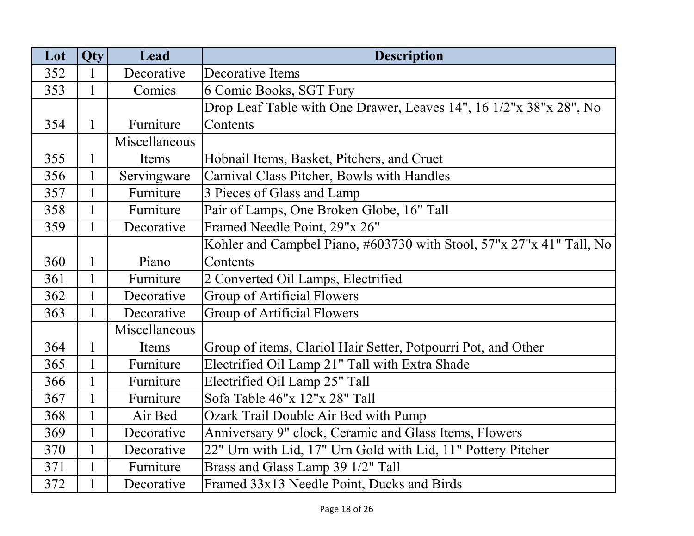| Lot | <b>Qty</b>   | Lead          | <b>Description</b>                                                   |
|-----|--------------|---------------|----------------------------------------------------------------------|
| 352 |              | Decorative    | Decorative Items                                                     |
| 353 | 1            | Comics        | 6 Comic Books, SGT Fury                                              |
|     |              |               | Drop Leaf Table with One Drawer, Leaves 14", 16 1/2"x 38"x 28", No   |
| 354 | 1            | Furniture     | Contents                                                             |
|     |              | Miscellaneous |                                                                      |
| 355 |              | Items         | Hobnail Items, Basket, Pitchers, and Cruet                           |
| 356 | $\mathbf{1}$ | Servingware   | Carnival Class Pitcher, Bowls with Handles                           |
| 357 | $\mathbf{1}$ | Furniture     | 3 Pieces of Glass and Lamp                                           |
| 358 | 1            | Furniture     | Pair of Lamps, One Broken Globe, 16" Tall                            |
| 359 | 1            | Decorative    | Framed Needle Point, 29"x 26"                                        |
|     |              |               | Kohler and Campbel Piano, #603730 with Stool, 57"x 27"x 41" Tall, No |
| 360 | 1            | Piano         | Contents                                                             |
| 361 |              | Furniture     | 2 Converted Oil Lamps, Electrified                                   |
| 362 |              | Decorative    | <b>Group of Artificial Flowers</b>                                   |
| 363 | 1            | Decorative    | Group of Artificial Flowers                                          |
|     |              | Miscellaneous |                                                                      |
| 364 | 1            | Items         | Group of items, Clariol Hair Setter, Potpourri Pot, and Other        |
| 365 | $\mathbf{1}$ | Furniture     | Electrified Oil Lamp 21" Tall with Extra Shade                       |
| 366 | $\mathbf{1}$ | Furniture     | Electrified Oil Lamp 25" Tall                                        |
| 367 |              | Furniture     | Sofa Table 46"x 12"x 28" Tall                                        |
| 368 |              | Air Bed       | Ozark Trail Double Air Bed with Pump                                 |
| 369 | $\mathbf{1}$ | Decorative    | Anniversary 9" clock, Ceramic and Glass Items, Flowers               |
| 370 | $\mathbf{1}$ | Decorative    | 22" Urn with Lid, 17" Urn Gold with Lid, 11" Pottery Pitcher         |
| 371 | 1            | Furniture     | Brass and Glass Lamp 39 1/2" Tall                                    |
| 372 |              | Decorative    | Framed 33x13 Needle Point, Ducks and Birds                           |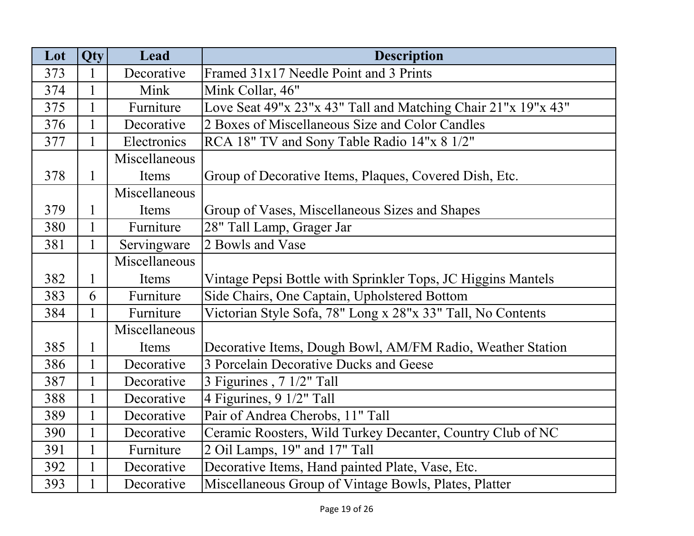| Lot | <b>Qty</b>   | Lead          | <b>Description</b>                                            |
|-----|--------------|---------------|---------------------------------------------------------------|
| 373 | 1            | Decorative    | Framed 31x17 Needle Point and 3 Prints                        |
| 374 | $\mathbf{1}$ | Mink          | Mink Collar, 46"                                              |
| 375 | $\mathbf{1}$ | Furniture     | Love Seat 49"x 23"x 43" Tall and Matching Chair 21"x 19"x 43" |
| 376 | 1            | Decorative    | 2 Boxes of Miscellaneous Size and Color Candles               |
| 377 | $\mathbf{1}$ | Electronics   | RCA 18" TV and Sony Table Radio 14"x 8 1/2"                   |
|     |              | Miscellaneous |                                                               |
| 378 | $\mathbf{1}$ | Items         | Group of Decorative Items, Plaques, Covered Dish, Etc.        |
|     |              | Miscellaneous |                                                               |
| 379 | 1            | Items         | Group of Vases, Miscellaneous Sizes and Shapes                |
| 380 | $\mathbf{1}$ | Furniture     | 28" Tall Lamp, Grager Jar                                     |
| 381 | $\mathbf{1}$ | Servingware   | 2 Bowls and Vase                                              |
|     |              | Miscellaneous |                                                               |
| 382 | 1            | Items         | Vintage Pepsi Bottle with Sprinkler Tops, JC Higgins Mantels  |
| 383 | 6            | Furniture     | Side Chairs, One Captain, Upholstered Bottom                  |
| 384 | $\mathbf{1}$ | Furniture     | Victorian Style Sofa, 78" Long x 28"x 33" Tall, No Contents   |
|     |              | Miscellaneous |                                                               |
| 385 | $\mathbf{1}$ | Items         | Decorative Items, Dough Bowl, AM/FM Radio, Weather Station    |
| 386 | $\mathbf{1}$ | Decorative    | 3 Porcelain Decorative Ducks and Geese                        |
| 387 | $\mathbf{1}$ | Decorative    | 3 Figurines, 7 1/2" Tall                                      |
| 388 |              | Decorative    | 4 Figurines, 9 1/2" Tall                                      |
| 389 | $\mathbf{1}$ | Decorative    | Pair of Andrea Cherobs, 11" Tall                              |
| 390 | $\mathbf{1}$ | Decorative    | Ceramic Roosters, Wild Turkey Decanter, Country Club of NC    |
| 391 | $\mathbf{1}$ | Furniture     | 2 Oil Lamps, 19" and 17" Tall                                 |
| 392 | $\mathbf{1}$ | Decorative    | Decorative Items, Hand painted Plate, Vase, Etc.              |
| 393 |              | Decorative    | Miscellaneous Group of Vintage Bowls, Plates, Platter         |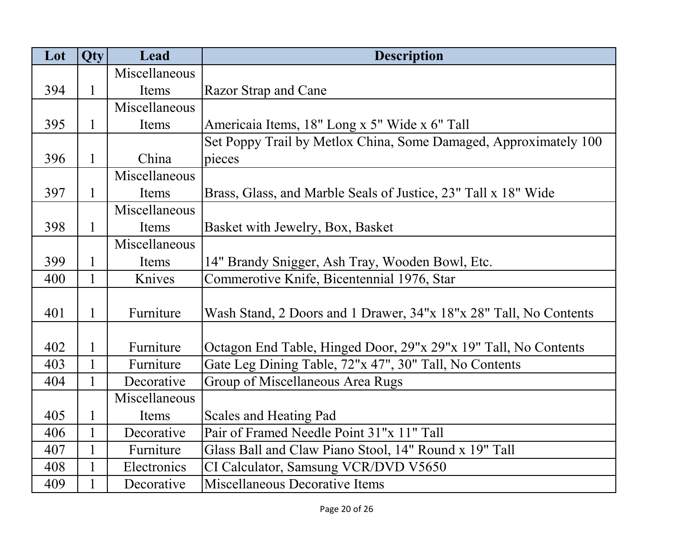| Lot | Qty          | Lead          | <b>Description</b>                                                |
|-----|--------------|---------------|-------------------------------------------------------------------|
|     |              | Miscellaneous |                                                                   |
| 394 | $\mathbf 1$  | Items         | <b>Razor Strap and Cane</b>                                       |
|     |              | Miscellaneous |                                                                   |
| 395 | 1            | Items         | Americaia Items, 18" Long x 5" Wide x 6" Tall                     |
|     |              |               | Set Poppy Trail by Metlox China, Some Damaged, Approximately 100  |
| 396 | $\mathbf{1}$ | China         | pieces                                                            |
|     |              | Miscellaneous |                                                                   |
| 397 | $\mathbf{1}$ | Items         | Brass, Glass, and Marble Seals of Justice, 23" Tall x 18" Wide    |
|     |              | Miscellaneous |                                                                   |
| 398 | $\mathbf{1}$ | Items         | Basket with Jewelry, Box, Basket                                  |
|     |              | Miscellaneous |                                                                   |
| 399 | 1            | Items         | 14" Brandy Snigger, Ash Tray, Wooden Bowl, Etc.                   |
| 400 | $\mathbf{1}$ | Knives        | Commerotive Knife, Bicentennial 1976, Star                        |
|     |              |               |                                                                   |
| 401 | $\mathbf{1}$ | Furniture     | Wash Stand, 2 Doors and 1 Drawer, 34"x 18"x 28" Tall, No Contents |
|     |              |               |                                                                   |
| 402 | $\mathbf{1}$ | Furniture     | Octagon End Table, Hinged Door, 29"x 29"x 19" Tall, No Contents   |
| 403 |              | Furniture     | Gate Leg Dining Table, 72"x 47", 30" Tall, No Contents            |
| 404 | 1            | Decorative    | Group of Miscellaneous Area Rugs                                  |
|     |              | Miscellaneous |                                                                   |
| 405 | 1            | Items         | Scales and Heating Pad                                            |
| 406 | $\mathbf{1}$ | Decorative    | Pair of Framed Needle Point 31"x 11" Tall                         |
| 407 | $\mathbf{1}$ | Furniture     | Glass Ball and Claw Piano Stool, 14" Round x 19" Tall             |
| 408 | 1            | Electronics   | CI Calculator, Samsung VCR/DVD V5650                              |
| 409 | 1            | Decorative    | Miscellaneous Decorative Items                                    |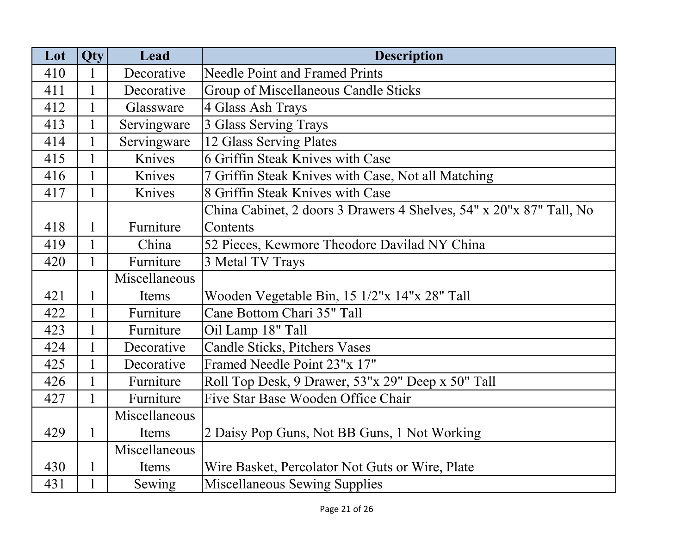| Lot | Qty          | Lead          | <b>Description</b>                                                  |
|-----|--------------|---------------|---------------------------------------------------------------------|
| 410 |              | Decorative    | <b>Needle Point and Framed Prints</b>                               |
| 411 | 1            | Decorative    | Group of Miscellaneous Candle Sticks                                |
| 412 |              | Glassware     | 4 Glass Ash Trays                                                   |
| 413 |              | Servingware   | 3 Glass Serving Trays                                               |
| 414 | $\mathbf{1}$ | Servingware   | 12 Glass Serving Plates                                             |
| 415 | $\mathbf{1}$ | Knives        | 6 Griffin Steak Knives with Case                                    |
| 416 | $\mathbf{1}$ | Knives        | 7 Griffin Steak Knives with Case, Not all Matching                  |
| 417 | 1            | Knives        | 8 Griffin Steak Knives with Case                                    |
|     |              |               | China Cabinet, 2 doors 3 Drawers 4 Shelves, 54" x 20"x 87" Tall, No |
| 418 | 1            | Furniture     | Contents                                                            |
| 419 | 1            | China         | 52 Pieces, Kewmore Theodore Davilad NY China                        |
| 420 | 1            | Furniture     | 3 Metal TV Trays                                                    |
|     |              | Miscellaneous |                                                                     |
| 421 | 1            | Items         | Wooden Vegetable Bin, 15 1/2"x 14"x 28" Tall                        |
| 422 | 1            | Furniture     | Cane Bottom Chari 35" Tall                                          |
| 423 | $\mathbf{1}$ | Furniture     | Oil Lamp 18" Tall                                                   |
| 424 | $\mathbf{1}$ | Decorative    | Candle Sticks, Pitchers Vases                                       |
| 425 |              | Decorative    | Framed Needle Point 23"x 17"                                        |
| 426 |              | Furniture     | Roll Top Desk, 9 Drawer, 53"x 29" Deep x 50" Tall                   |
| 427 | $\mathbf{1}$ | Furniture     | Five Star Base Wooden Office Chair                                  |
|     |              | Miscellaneous |                                                                     |
| 429 | $\mathbf{1}$ | Items         | 2 Daisy Pop Guns, Not BB Guns, 1 Not Working                        |
|     |              | Miscellaneous |                                                                     |
| 430 | 1            | Items         | Wire Basket, Percolator Not Guts or Wire, Plate                     |
| 431 | 1            | Sewing        | Miscellaneous Sewing Supplies                                       |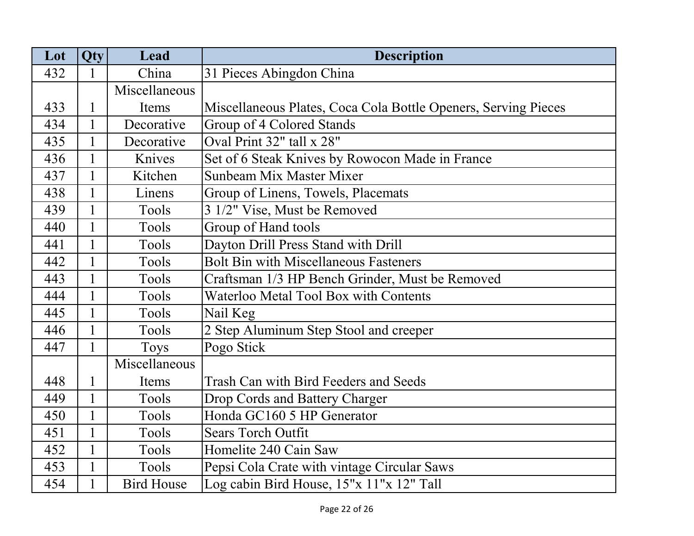| Lot | <b>Qty</b>   | Lead              | <b>Description</b>                                             |
|-----|--------------|-------------------|----------------------------------------------------------------|
| 432 | 1            | China             | 31 Pieces Abingdon China                                       |
|     |              | Miscellaneous     |                                                                |
| 433 | 1            | Items             | Miscellaneous Plates, Coca Cola Bottle Openers, Serving Pieces |
| 434 | 1            | Decorative        | Group of 4 Colored Stands                                      |
| 435 | $\mathbf{1}$ | Decorative        | Oval Print 32" tall x 28"                                      |
| 436 | $\mathbf{1}$ | Knives            | Set of 6 Steak Knives by Rowocon Made in France                |
| 437 | $\mathbf{1}$ | Kitchen           | Sunbeam Mix Master Mixer                                       |
| 438 | $\mathbf{1}$ | Linens            | Group of Linens, Towels, Placemats                             |
| 439 | $\mathbf{1}$ | Tools             | 3 1/2" Vise, Must be Removed                                   |
| 440 | $\mathbf{1}$ | Tools             | Group of Hand tools                                            |
| 441 | $\mathbf{1}$ | Tools             | Dayton Drill Press Stand with Drill                            |
| 442 | $\mathbf{1}$ | Tools             | <b>Bolt Bin with Miscellaneous Fasteners</b>                   |
| 443 | $\mathbf{1}$ | Tools             | Craftsman 1/3 HP Bench Grinder, Must be Removed                |
| 444 | $\mathbf{1}$ | Tools             | Waterloo Metal Tool Box with Contents                          |
| 445 | $\mathbf{1}$ | Tools             | Nail Keg                                                       |
| 446 | $\mathbf{1}$ | Tools             | 2 Step Aluminum Step Stool and creeper                         |
| 447 | $\mathbf{1}$ | <b>Toys</b>       | Pogo Stick                                                     |
|     |              | Miscellaneous     |                                                                |
| 448 | $\mathbf{1}$ | Items             | Trash Can with Bird Feeders and Seeds                          |
| 449 | $\mathbf{1}$ | Tools             | Drop Cords and Battery Charger                                 |
| 450 | $\mathbf{1}$ | Tools             | Honda GC160 5 HP Generator                                     |
| 451 | $\mathbf{1}$ | Tools             | <b>Sears Torch Outfit</b>                                      |
| 452 | $\mathbf{1}$ | Tools             | Homelite 240 Cain Saw                                          |
| 453 | $\mathbf{1}$ | Tools             | Pepsi Cola Crate with vintage Circular Saws                    |
| 454 | $\mathbf{1}$ | <b>Bird House</b> | Log cabin Bird House, 15"x 11"x 12" Tall                       |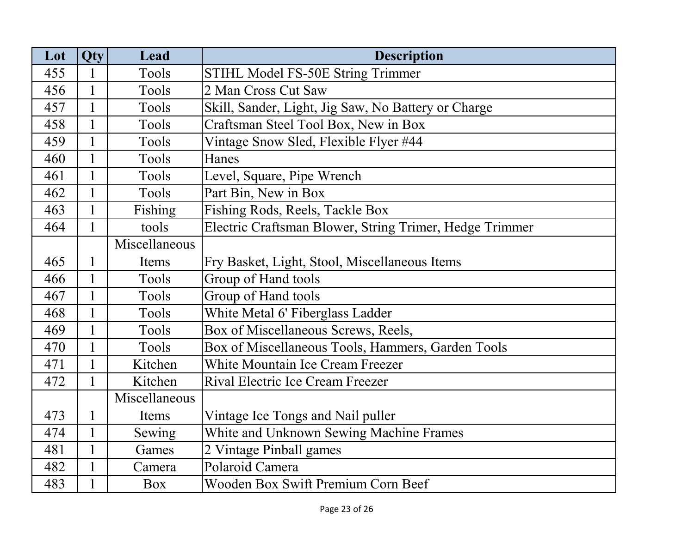| Lot | <b>Qty</b>   | Lead          | <b>Description</b>                                      |
|-----|--------------|---------------|---------------------------------------------------------|
| 455 |              | Tools         | STIHL Model FS-50E String Trimmer                       |
| 456 | 1            | Tools         | 2 Man Cross Cut Saw                                     |
| 457 | $\mathbf{1}$ | Tools         | Skill, Sander, Light, Jig Saw, No Battery or Charge     |
| 458 |              | Tools         | Craftsman Steel Tool Box, New in Box                    |
| 459 |              | Tools         | Vintage Snow Sled, Flexible Flyer #44                   |
| 460 | $\mathbf{1}$ | Tools         | Hanes                                                   |
| 461 | 1            | Tools         | Level, Square, Pipe Wrench                              |
| 462 | $\mathbf{1}$ | Tools         | Part Bin, New in Box                                    |
| 463 |              | Fishing       | Fishing Rods, Reels, Tackle Box                         |
| 464 |              | tools         | Electric Craftsman Blower, String Trimer, Hedge Trimmer |
|     |              | Miscellaneous |                                                         |
| 465 |              | Items         | Fry Basket, Light, Stool, Miscellaneous Items           |
| 466 | $\mathbf{1}$ | Tools         | Group of Hand tools                                     |
| 467 | $\mathbf{1}$ | Tools         | Group of Hand tools                                     |
| 468 | $\mathbf{1}$ | Tools         | White Metal 6' Fiberglass Ladder                        |
| 469 | $\mathbf{1}$ | Tools         | Box of Miscellaneous Screws, Reels,                     |
| 470 | $\mathbf{1}$ | Tools         | Box of Miscellaneous Tools, Hammers, Garden Tools       |
| 471 |              | Kitchen       | White Mountain Ice Cream Freezer                        |
| 472 |              | Kitchen       | Rival Electric Ice Cream Freezer                        |
|     |              | Miscellaneous |                                                         |
| 473 | 1            | Items         | Vintage Ice Tongs and Nail puller                       |
| 474 | 1            | Sewing        | White and Unknown Sewing Machine Frames                 |
| 481 | 1            | Games         | 2 Vintage Pinball games                                 |
| 482 | $\mathbf{1}$ | Camera        | Polaroid Camera                                         |
| 483 |              | Box           | Wooden Box Swift Premium Corn Beef                      |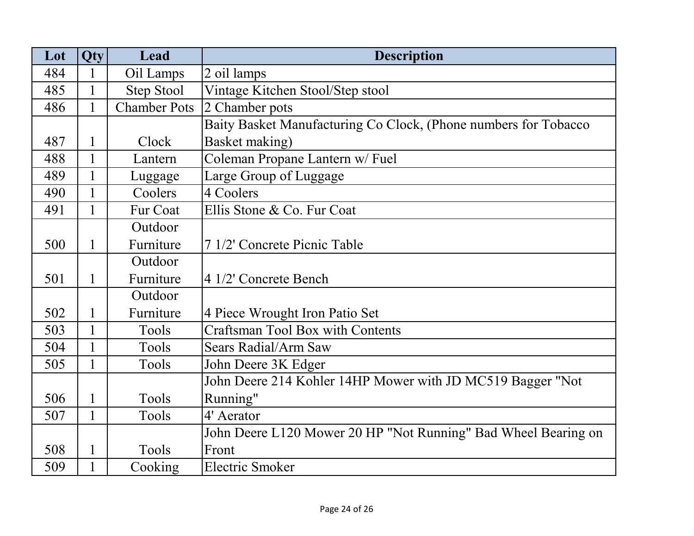| Lot | <b>Qty</b>   | Lead                | <b>Description</b>                                              |
|-----|--------------|---------------------|-----------------------------------------------------------------|
| 484 | $\mathbf{1}$ | Oil Lamps           | 2 oil lamps                                                     |
| 485 | $\mathbf{1}$ | Step Stool          | Vintage Kitchen Stool/Step stool                                |
| 486 | 1            | <b>Chamber Pots</b> | 2 Chamber pots                                                  |
|     |              |                     | Baity Basket Manufacturing Co Clock, (Phone numbers for Tobacco |
| 487 | $\mathbf{1}$ | Clock               | Basket making)                                                  |
| 488 | 1            | Lantern             | Coleman Propane Lantern w/ Fuel                                 |
| 489 | 1            | Luggage             | Large Group of Luggage                                          |
| 490 | 1            | Coolers             | 4 Coolers                                                       |
| 491 | 1            | Fur Coat            | Ellis Stone & Co. Fur Coat                                      |
|     |              | Outdoor             |                                                                 |
| 500 | $\mathbf{1}$ | Furniture           | 7 1/2' Concrete Picnic Table                                    |
|     |              | Outdoor             |                                                                 |
| 501 | $\mathbf{1}$ | Furniture           | 4 1/2' Concrete Bench                                           |
|     |              | Outdoor             |                                                                 |
| 502 | 1            | Furniture           | 4 Piece Wrought Iron Patio Set                                  |
| 503 |              | Tools               | <b>Craftsman Tool Box with Contents</b>                         |
| 504 | 1            | Tools               | Sears Radial/Arm Saw                                            |
| 505 |              | Tools               | John Deere 3K Edger                                             |
|     |              |                     | John Deere 214 Kohler 14HP Mower with JD MC519 Bagger "Not      |
| 506 | 1            | Tools               | Running"                                                        |
| 507 | $\mathbf{1}$ | Tools               | 4' Aerator                                                      |
|     |              |                     | John Deere L120 Mower 20 HP "Not Running" Bad Wheel Bearing on  |
| 508 | $\mathbf{1}$ | Tools               | Front                                                           |
| 509 | 1            | Cooking             | <b>Electric Smoker</b>                                          |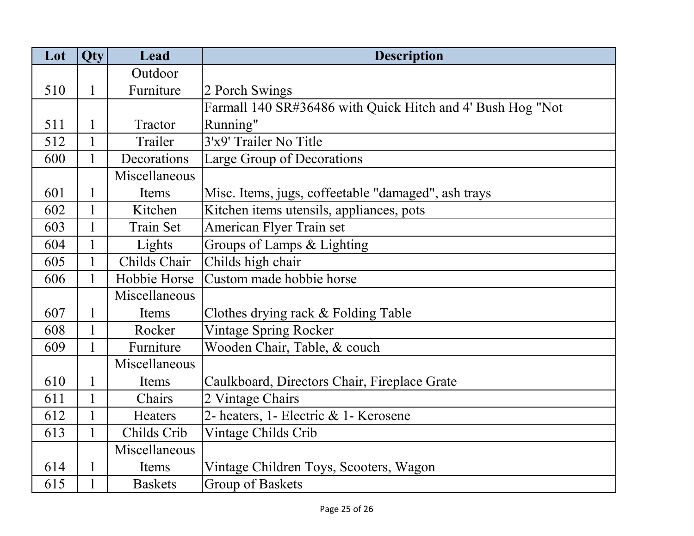| Lot | Qty          | Lead             | <b>Description</b>                                         |
|-----|--------------|------------------|------------------------------------------------------------|
|     |              | Outdoor          |                                                            |
| 510 | $\mathbf 1$  | Furniture        | 2 Porch Swings                                             |
|     |              |                  | Farmall 140 SR#36486 with Quick Hitch and 4' Bush Hog "Not |
| 511 |              | Tractor          | Running"                                                   |
| 512 | 1            | Trailer          | 3'x9' Trailer No Title                                     |
| 600 | $\mathbf{1}$ | Decorations      | Large Group of Decorations                                 |
|     |              | Miscellaneous    |                                                            |
| 601 |              | Items            | Misc. Items, jugs, coffeetable "damaged", ash trays        |
| 602 |              | Kitchen          | Kitchen items utensils, appliances, pots                   |
| 603 | 1            | <b>Train Set</b> | American Flyer Train set                                   |
| 604 |              | Lights           | Groups of Lamps & Lighting                                 |
| 605 |              | Childs Chair     | Childs high chair                                          |
| 606 |              | Hobbie Horse     | Custom made hobbie horse                                   |
|     |              | Miscellaneous    |                                                            |
| 607 | 1            | Items            | Clothes drying rack & Folding Table                        |
| 608 |              | Rocker           | <b>Vintage Spring Rocker</b>                               |
| 609 | $\mathbf{1}$ | Furniture        | Wooden Chair, Table, & couch                               |
|     |              | Miscellaneous    |                                                            |
| 610 |              | Items            | Caulkboard, Directors Chair, Fireplace Grate               |
| 611 | $\mathbf{1}$ | Chairs           | 2 Vintage Chairs                                           |
| 612 | 1            | Heaters          | 2- heaters, 1- Electric & 1- Kerosene                      |
| 613 | 1            | Childs Crib      | Vintage Childs Crib                                        |
|     |              | Miscellaneous    |                                                            |
| 614 | 1            | Items            | Vintage Children Toys, Scooters, Wagon                     |
| 615 |              | <b>Baskets</b>   | <b>Group of Baskets</b>                                    |